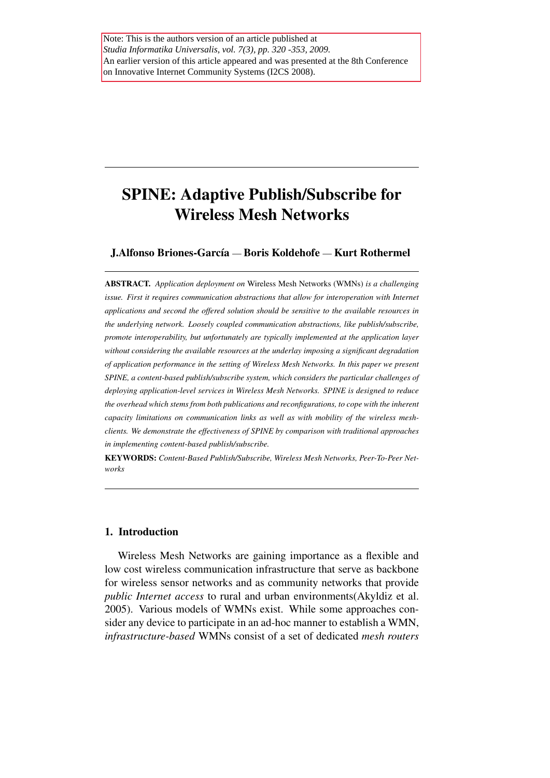# SPINE: Adaptive Publish/Subscribe for Wireless Mesh Networks

# J.Alfonso Briones-García — Boris Koldehofe — Kurt Rothermel

ABSTRACT. *Application deployment on* Wireless Mesh Networks (WMNs) *is a challenging issue. First it requires communication abstractions that allow for interoperation with Internet applications and second the offered solution should be sensitive to the available resources in the underlying network. Loosely coupled communication abstractions, like publish/subscribe, promote interoperability, but unfortunately are typically implemented at the application layer without considering the available resources at the underlay imposing a significant degradation of application performance in the setting of Wireless Mesh Networks. In this paper we present SPINE, a content-based publish/subscribe system, which considers the particular challenges of deploying application-level services in Wireless Mesh Networks. SPINE is designed to reduce the overhead which stems from both publications and reconfigurations, to cope with the inherent capacity limitations on communication links as well as with mobility of the wireless meshclients. We demonstrate the effectiveness of SPINE by comparison with traditional approaches in implementing content-based publish/subscribe.*

KEYWORDS: *Content-Based Publish/Subscribe, Wireless Mesh Networks, Peer-To-Peer Networks*

# 1. Introduction

Wireless Mesh Networks are gaining importance as a flexible and low cost wireless communication infrastructure that serve as backbone for wireless sensor networks and as community networks that provide *public Internet access* to rural and urban environments(Akyldiz et al. 2005). Various models of WMNs exist. While some approaches consider any device to participate in an ad-hoc manner to establish a WMN, *infrastructure-based* WMNs consist of a set of dedicated *mesh routers*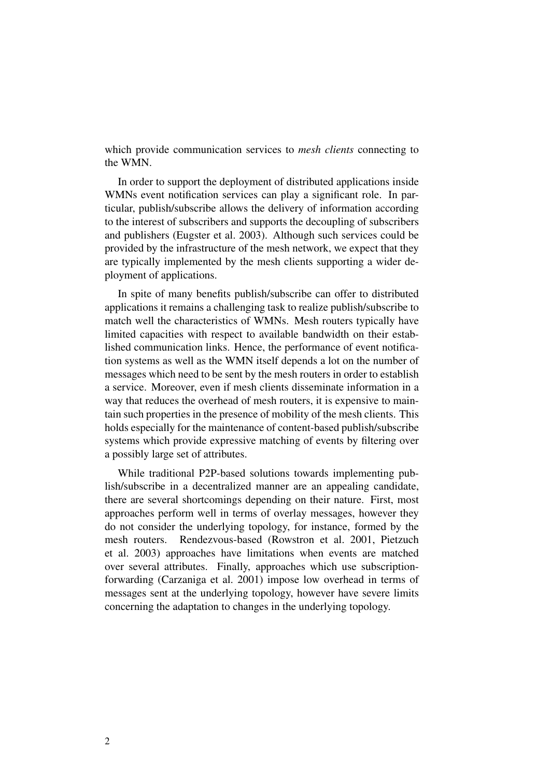which provide communication services to *mesh clients* connecting to the WMN.

In order to support the deployment of distributed applications inside WMNs event notification services can play a significant role. In particular, publish/subscribe allows the delivery of information according to the interest of subscribers and supports the decoupling of subscribers and publishers (Eugster et al. 2003). Although such services could be provided by the infrastructure of the mesh network, we expect that they are typically implemented by the mesh clients supporting a wider deployment of applications.

In spite of many benefits publish/subscribe can offer to distributed applications it remains a challenging task to realize publish/subscribe to match well the characteristics of WMNs. Mesh routers typically have limited capacities with respect to available bandwidth on their established communication links. Hence, the performance of event notification systems as well as the WMN itself depends a lot on the number of messages which need to be sent by the mesh routers in order to establish a service. Moreover, even if mesh clients disseminate information in a way that reduces the overhead of mesh routers, it is expensive to maintain such properties in the presence of mobility of the mesh clients. This holds especially for the maintenance of content-based publish/subscribe systems which provide expressive matching of events by filtering over a possibly large set of attributes.

While traditional P2P-based solutions towards implementing publish/subscribe in a decentralized manner are an appealing candidate, there are several shortcomings depending on their nature. First, most approaches perform well in terms of overlay messages, however they do not consider the underlying topology, for instance, formed by the mesh routers. Rendezvous-based (Rowstron et al. 2001, Pietzuch et al. 2003) approaches have limitations when events are matched over several attributes. Finally, approaches which use subscriptionforwarding (Carzaniga et al. 2001) impose low overhead in terms of messages sent at the underlying topology, however have severe limits concerning the adaptation to changes in the underlying topology.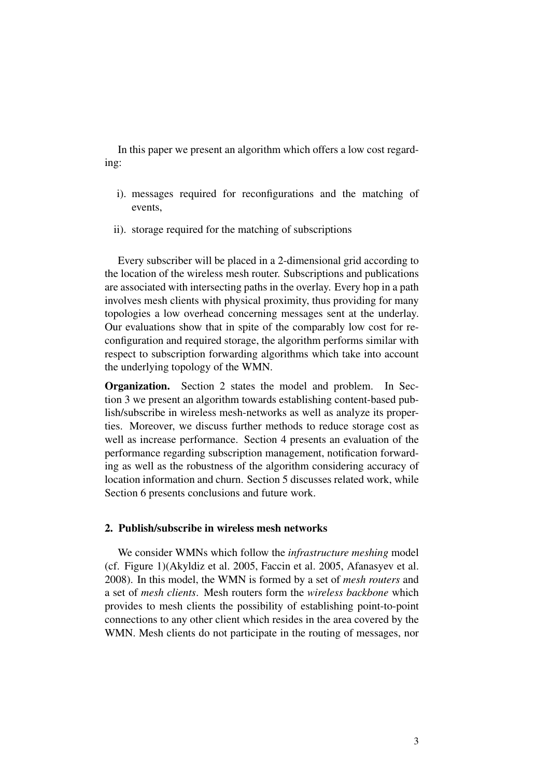In this paper we present an algorithm which offers a low cost regarding:

- i). messages required for reconfigurations and the matching of events,
- ii). storage required for the matching of subscriptions

Every subscriber will be placed in a 2-dimensional grid according to the location of the wireless mesh router. Subscriptions and publications are associated with intersecting paths in the overlay. Every hop in a path involves mesh clients with physical proximity, thus providing for many topologies a low overhead concerning messages sent at the underlay. Our evaluations show that in spite of the comparably low cost for reconfiguration and required storage, the algorithm performs similar with respect to subscription forwarding algorithms which take into account the underlying topology of the WMN.

Organization. Section 2 states the model and problem. In Section 3 we present an algorithm towards establishing content-based publish/subscribe in wireless mesh-networks as well as analyze its properties. Moreover, we discuss further methods to reduce storage cost as well as increase performance. Section 4 presents an evaluation of the performance regarding subscription management, notification forwarding as well as the robustness of the algorithm considering accuracy of location information and churn. Section 5 discusses related work, while Section 6 presents conclusions and future work.

#### 2. Publish/subscribe in wireless mesh networks

We consider WMNs which follow the *infrastructure meshing* model (cf. Figure 1)(Akyldiz et al. 2005, Faccin et al. 2005, Afanasyev et al. 2008). In this model, the WMN is formed by a set of *mesh routers* and a set of *mesh clients*. Mesh routers form the *wireless backbone* which provides to mesh clients the possibility of establishing point-to-point connections to any other client which resides in the area covered by the WMN. Mesh clients do not participate in the routing of messages, nor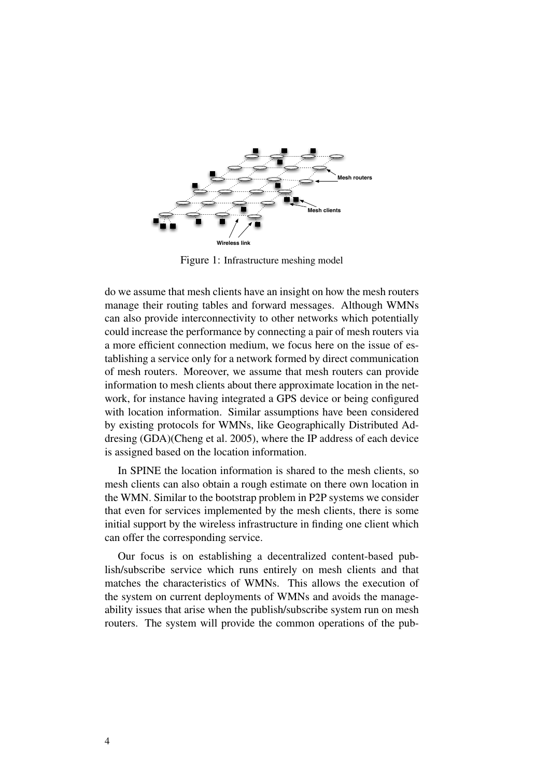

Figure 1: Infrastructure meshing model

do we assume that mesh clients have an insight on how the mesh routers manage their routing tables and forward messages. Although WMNs can also provide interconnectivity to other networks which potentially could increase the performance by connecting a pair of mesh routers via a more efficient connection medium, we focus here on the issue of establishing a service only for a network formed by direct communication of mesh routers. Moreover, we assume that mesh routers can provide information to mesh clients about there approximate location in the network, for instance having integrated a GPS device or being configured with location information. Similar assumptions have been considered by existing protocols for WMNs, like Geographically Distributed Addresing (GDA)(Cheng et al. 2005), where the IP address of each device is assigned based on the location information.

In SPINE the location information is shared to the mesh clients, so mesh clients can also obtain a rough estimate on there own location in the WMN. Similar to the bootstrap problem in P2P systems we consider that even for services implemented by the mesh clients, there is some initial support by the wireless infrastructure in finding one client which can offer the corresponding service.

Our focus is on establishing a decentralized content-based publish/subscribe service which runs entirely on mesh clients and that matches the characteristics of WMNs. This allows the execution of the system on current deployments of WMNs and avoids the manageability issues that arise when the publish/subscribe system run on mesh routers. The system will provide the common operations of the pub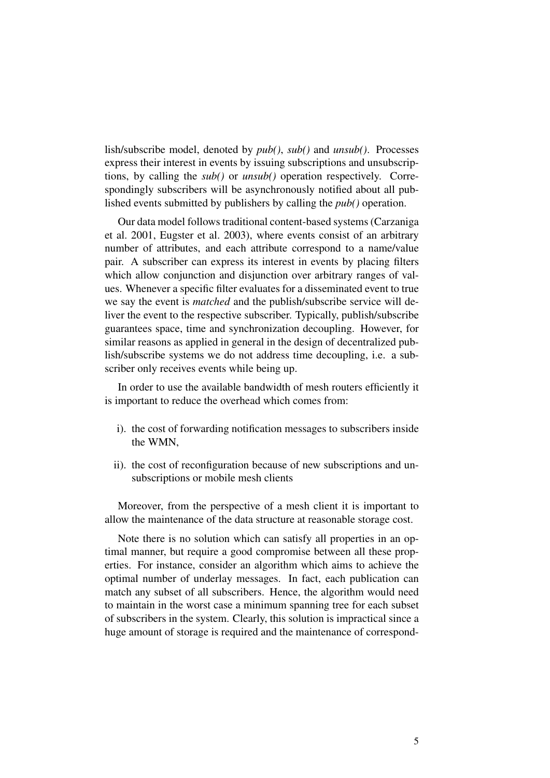lish/subscribe model, denoted by *pub()*, *sub()* and *unsub()*. Processes express their interest in events by issuing subscriptions and unsubscriptions, by calling the *sub()* or *unsub()* operation respectively. Correspondingly subscribers will be asynchronously notified about all published events submitted by publishers by calling the *pub()* operation.

Our data model follows traditional content-based systems (Carzaniga et al. 2001, Eugster et al. 2003), where events consist of an arbitrary number of attributes, and each attribute correspond to a name/value pair. A subscriber can express its interest in events by placing filters which allow conjunction and disjunction over arbitrary ranges of values. Whenever a specific filter evaluates for a disseminated event to true we say the event is *matched* and the publish/subscribe service will deliver the event to the respective subscriber. Typically, publish/subscribe guarantees space, time and synchronization decoupling. However, for similar reasons as applied in general in the design of decentralized publish/subscribe systems we do not address time decoupling, i.e. a subscriber only receives events while being up.

In order to use the available bandwidth of mesh routers efficiently it is important to reduce the overhead which comes from:

- i). the cost of forwarding notification messages to subscribers inside the WMN,
- ii). the cost of reconfiguration because of new subscriptions and unsubscriptions or mobile mesh clients

Moreover, from the perspective of a mesh client it is important to allow the maintenance of the data structure at reasonable storage cost.

Note there is no solution which can satisfy all properties in an optimal manner, but require a good compromise between all these properties. For instance, consider an algorithm which aims to achieve the optimal number of underlay messages. In fact, each publication can match any subset of all subscribers. Hence, the algorithm would need to maintain in the worst case a minimum spanning tree for each subset of subscribers in the system. Clearly, this solution is impractical since a huge amount of storage is required and the maintenance of correspond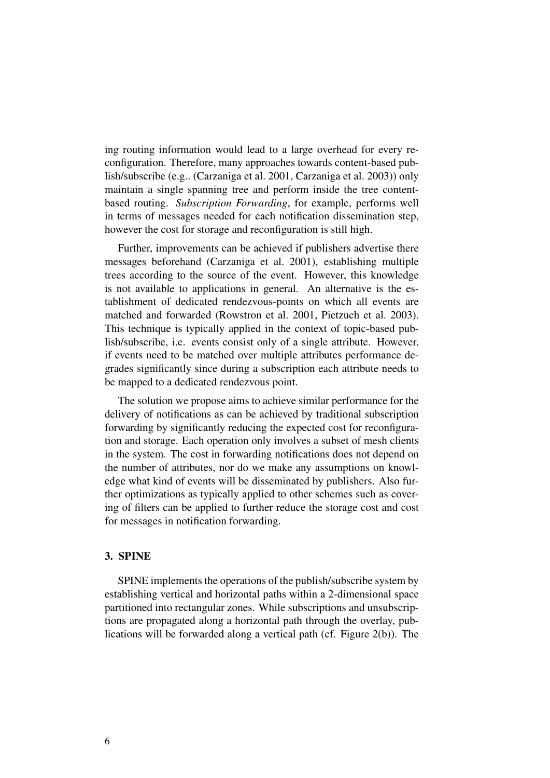ing routing information would lead to a large overhead for every reconfiguration. Therefore, many approaches towards content-based publish/subscribe (e.g.. (Carzaniga et al. 2001, Carzaniga et al. 2003)) only maintain a single spanning tree and perform inside the tree contentbased routing. *Subscription Forwarding*, for example, performs well in terms of messages needed for each notification dissemination step, however the cost for storage and reconfiguration is still high.

Further, improvements can be achieved if publishers advertise there messages beforehand (Carzaniga et al. 2001), establishing multiple trees according to the source of the event. However, this knowledge is not available to applications in general. An alternative is the establishment of dedicated rendezvous-points on which all events are matched and forwarded (Rowstron et al. 2001, Pietzuch et al. 2003). This technique is typically applied in the context of topic-based publish/subscribe, i.e. events consist only of a single attribute. However, if events need to be matched over multiple attributes performance degrades significantly since during a subscription each attribute needs to be mapped to a dedicated rendezvous point.

The solution we propose aims to achieve similar performance for the delivery of notifications as can be achieved by traditional subscription forwarding by significantly reducing the expected cost for reconfiguration and storage. Each operation only involves a subset of mesh clients in the system. The cost in forwarding notifications does not depend on the number of attributes, nor do we make any assumptions on knowledge what kind of events will be disseminated by publishers. Also further optimizations as typically applied to other schemes such as covering of filters can be applied to further reduce the storage cost and cost for messages in notification forwarding.

## 3. SPINE

SPINE implements the operations of the publish/subscribe system by establishing vertical and horizontal paths within a 2-dimensional space partitioned into rectangular zones. While subscriptions and unsubscriptions are propagated along a horizontal path through the overlay, publications will be forwarded along a vertical path (cf. Figure 2(b)). The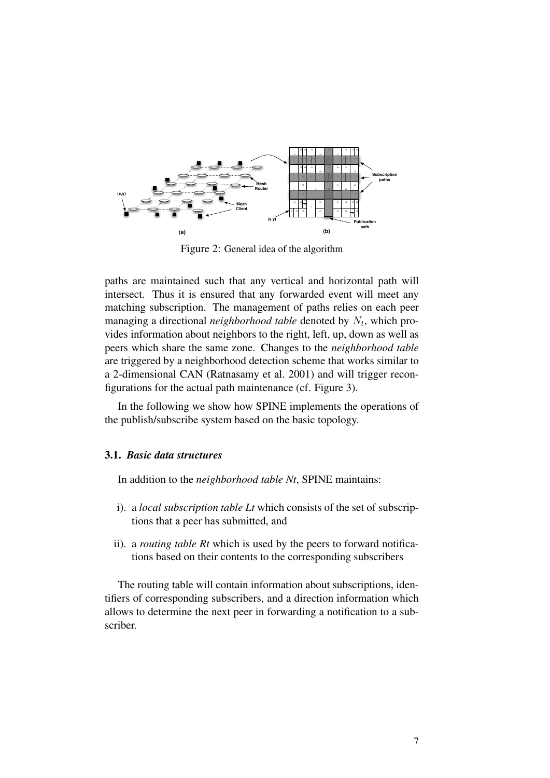

Figure 2: General idea of the algorithm

paths are maintained such that any vertical and horizontal path will intersect. Thus it is ensured that any forwarded event will meet any matching subscription. The management of paths relies on each peer managing a directional *neighborhood table* denoted by  $N_t$ , which provides information about neighbors to the right, left, up, down as well as peers which share the same zone. Changes to the *neighborhood table* are triggered by a neighborhood detection scheme that works similar to a 2-dimensional CAN (Ratnasamy et al. 2001) and will trigger reconfigurations for the actual path maintenance (cf. Figure 3).

In the following we show how SPINE implements the operations of the publish/subscribe system based on the basic topology.

## 3.1. *Basic data structures*

In addition to the *neighborhood table Nt*, SPINE maintains:

- i). a *local subscription table Lt* which consists of the set of subscriptions that a peer has submitted, and
- ii). a *routing table Rt* which is used by the peers to forward notifications based on their contents to the corresponding subscribers

The routing table will contain information about subscriptions, identifiers of corresponding subscribers, and a direction information which allows to determine the next peer in forwarding a notification to a subscriber.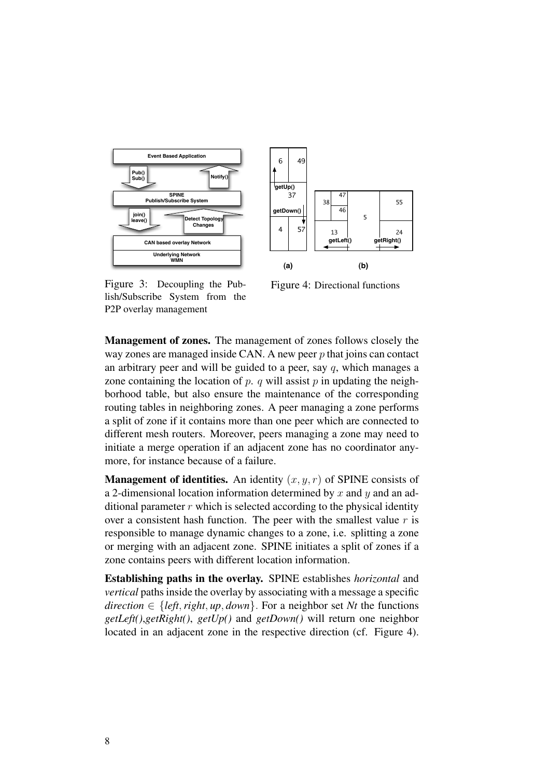



Figure 3: Decoupling the Pub-<br>Figure lish/Subscribe System from the P2P overlay management

Figure 4: Directional functions

 $\mathcal{P}$ an arbitrary peer and will be guided to a peer, say  $q$ , which manages a way zones are managed inside CAN. A new peer  $p$  that joins can contact zone containing the location of p. q will assist p in updating the neigh-VĿ, Management of zones. The management of zones follows closely the borhood table, but also ensure the maintenance of the corresponding routing tables in neighboring zones. A peer managing a zone performs a split of zone if it contains more than one peer which are connected to different mesh routers. Moreover, peers managing a zone may need to initiate a merge operation if an adjacent zone has no coordinator anymore, for instance because of a failure.

**Management of identities.** An identity  $(x, y, r)$  of SPINE consists of a 2-dimensional location information determined by  $x$  and  $y$  and an additional parameter  $r$  which is selected according to the physical identity over a consistent hash function. The peer with the smallest value  $r$  is responsible to manage dynamic changes to a zone, i.e. splitting a zone or merging with an adjacent zone. SPINE initiates a split of zones if a zone contains peers with different location information.

Establishing paths in the overlay. SPINE establishes *horizontal* and *vertical* paths inside the overlay by associating with a message a specific *direction*  $\in$  {*left, right, up, down*}. For a neighbor set *Nt* the functions *getLeft()*,*getRight()*, *getUp()* and *getDown()* will return one neighbor located in an adjacent zone in the respective direction (cf. Figure 4).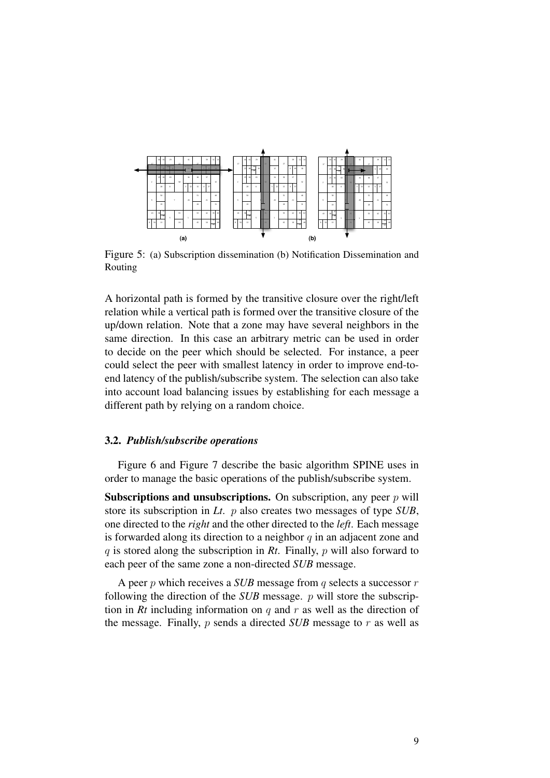

Figure 5: (a) Subscription dissemination (b) Notification Dissemination and Routing

A horizontal path is formed by the transitive closure over the right/left relation while a vertical path is formed over the transitive closure of the up/down relation. Note that a zone may have several neighbors in the same direction. In this case an arbitrary metric can be used in order to decide on the peer which should be selected. For instance, a peer could select the peer with smallest latency in order to improve end-toend latency of the publish/subscribe system. The selection can also take into account load balancing issues by establishing for each message a different path by relying on a random choice.

## 3.2. *Publish/subscribe operations*

Figure 6 and Figure 7 describe the basic algorithm SPINE uses in order to manage the basic operations of the publish/subscribe system.

**Subscriptions and unsubscriptions.** On subscription, any peer  $p$  will store its subscription in *Lt*. p also creates two messages of type *SUB*, one directed to the *right* and the other directed to the *left*. Each message is forwarded along its direction to a neighbor  $q$  in an adjacent zone and q is stored along the subscription in *Rt*. Finally, p will also forward to each peer of the same zone a non-directed *SUB* message.

A peer p which receives a *SUB* message from q selects a successor r following the direction of the *SUB* message. p will store the subscription in  $Rt$  including information on  $q$  and  $r$  as well as the direction of the message. Finally, p sends a directed *SUB* message to r as well as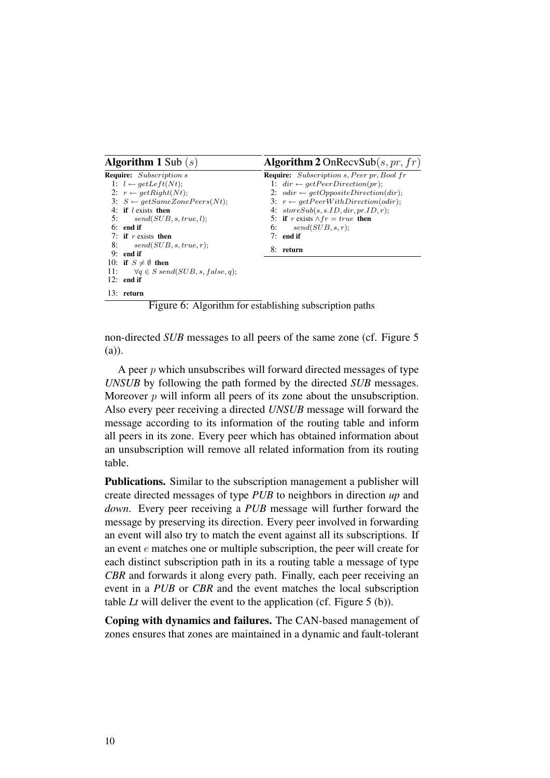| <b>Algorithm 1</b> Sub $(s)$                        | <b>Algorithm 2</b> OnRecvSub(s, pr, $fr$ )       |
|-----------------------------------------------------|--------------------------------------------------|
| <b>Require:</b> Subscription s                      | <b>Require:</b> Subscription s, Peer pr, Bool fr |
| 1: $l \leftarrow getLeft(Nt);$                      | 1: $dir \leftarrow getPerDirection(pr);$         |
| 2: $r \leftarrow getRight(Nt)$ ;                    | 2: $odir \leftarrow getOppositeDirection(dr);$   |
| 3: $S \leftarrow getSameZonePeers(Nt);$             | 3: $r \leftarrow getPerWithDirection(odir)$ ;    |
| 4: if <i>l</i> exists then                          | 4: $storeSub(s, s.ID, dir, pr.ID, r);$           |
| 5: $send(SUB, s, true, l);$                         | 5: if r exists $\wedge fr = true$ then           |
| $6:$ end if                                         | send(SUB, s, r);<br>6:                           |
| 7: if r exists then                                 | $7:$ end if                                      |
| 8: $send(SUB, s, true, r);$                         | 8: return                                        |
| $9:$ end if                                         |                                                  |
| 10: if $S \neq \emptyset$ then                      |                                                  |
| 11:<br>$\forall q \in S \; send(SUB, s, false, q);$ |                                                  |
| $12:$ end if                                        |                                                  |
| 13: return                                          |                                                  |

Figure 6: Algorithm for establishing subscription paths

non-directed *SUB* messages to all peers of the same zone (cf. Figure 5 (a)).

A peer  $p$  which unsubscribes will forward directed messages of type *UNSUB* by following the path formed by the directed *SUB* messages. Moreover  $p$  will inform all peers of its zone about the unsubscription. Also every peer receiving a directed *UNSUB* message will forward the message according to its information of the routing table and inform all peers in its zone. Every peer which has obtained information about an unsubscription will remove all related information from its routing table.

Publications. Similar to the subscription management a publisher will create directed messages of type *PUB* to neighbors in direction *up* and *down*. Every peer receiving a *PUB* message will further forward the message by preserving its direction. Every peer involved in forwarding an event will also try to match the event against all its subscriptions. If an event e matches one or multiple subscription, the peer will create for each distinct subscription path in its a routing table a message of type *CBR* and forwards it along every path. Finally, each peer receiving an event in a *PUB* or *CBR* and the event matches the local subscription table *Lt* will deliver the event to the application (cf. Figure 5 (b)).

Coping with dynamics and failures. The CAN-based management of zones ensures that zones are maintained in a dynamic and fault-tolerant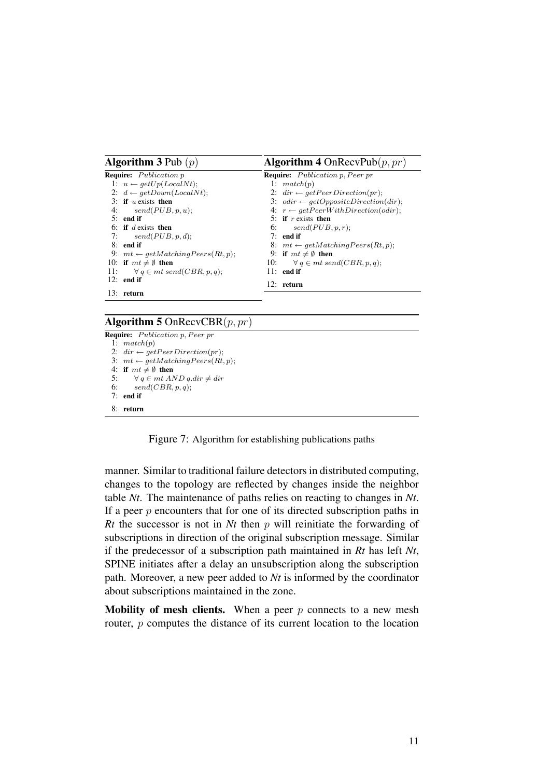| <b>Algorithm 3</b> Pub $(p)$                 | <b>Algorithm 4</b> OnRecvPub $(p, pr)$         |
|----------------------------------------------|------------------------------------------------|
| <b>Require:</b> Publication p                | <b>Require:</b> Publication p, Peer pr         |
| 1: $u \leftarrow getUp(LocalNt);$            | 1: $match(p)$                                  |
| 2: $d \leftarrow getDown(LocalNt);$          | 2: $dir \leftarrow getPerDirection(pr);$       |
| 3: if $u$ exists then                        | 3: $odir \leftarrow getOppositeDirection(dr);$ |
| 4: $send(PUB, p, u);$                        | 4: $r \leftarrow getPerWithDirection(odir);$   |
| $5:$ end if                                  | 5: if r exists then                            |
| 6: if d exists then                          | 6: $send(PUB, p, r);$                          |
| 7: $send(PUB, p, d)$ ;                       | $7:$ end if                                    |
| $8:$ end if                                  | 8: $mt \leftarrow getMatchingPeers(Rt, p);$    |
| 9: $mt \leftarrow getMatchingPeers(Rt, p)$ ; | 9: if $mt \neq \emptyset$ then                 |
| 10: if $mt \neq \emptyset$ then              | 10: $\forall q \in mt \, send(CBR, p, q);$     |
| 11: $\forall q \in mt \; send(CBR, p, q);$   | $11:$ end if                                   |
| $12:$ end if                                 | 12: return                                     |
| $13:$ return                                 |                                                |

### Algorithm 5 OnRecvCBR $(p, pr)$

Require: Publication p, Peer pr 1:  $match(p)$ 2:  $dir \leftarrow getPerDirection(pr);$ 3:  $mt \leftarrow getMatchingPeers(Rt, p);$ 4: if  $mt \neq \emptyset$  then<br>5:  $\forall q \in mt$  Al 5:  $\forall q \in mt \ AND \ q.dim \neq dir$ <br>6: send(CBR, p, q):  $send(CBR, p, q);$ 7: end if 8: return

Figure 7: Algorithm for establishing publications paths

manner. Similar to traditional failure detectors in distributed computing, changes to the topology are reflected by changes inside the neighbor table *Nt*. The maintenance of paths relies on reacting to changes in *Nt*. If a peer  $p$  encounters that for one of its directed subscription paths in *Rt* the successor is not in *Nt* then p will reinitiate the forwarding of subscriptions in direction of the original subscription message. Similar if the predecessor of a subscription path maintained in *Rt* has left *Nt*, SPINE initiates after a delay an unsubscription along the subscription path. Moreover, a new peer added to *Nt* is informed by the coordinator about subscriptions maintained in the zone.

**Mobility of mesh clients.** When a peer  $p$  connects to a new mesh router, p computes the distance of its current location to the location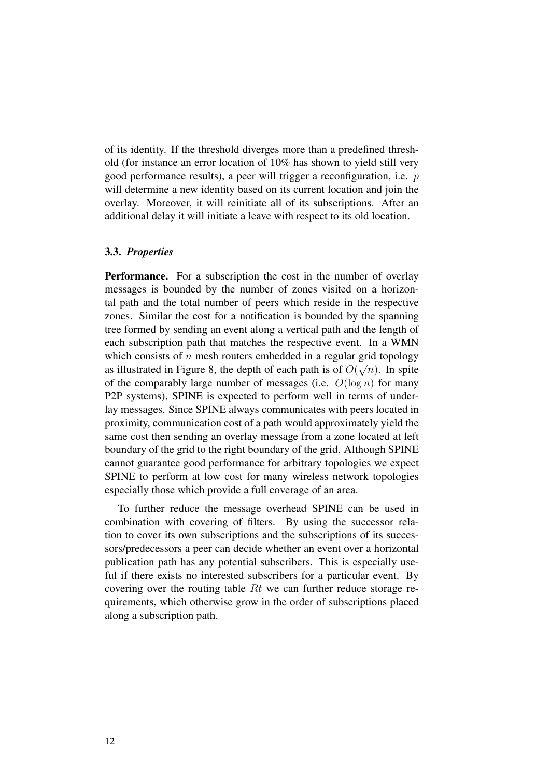of its identity. If the threshold diverges more than a predefined threshold (for instance an error location of 10% has shown to yield still very good performance results), a peer will trigger a reconfiguration, i.e. p will determine a new identity based on its current location and join the overlay. Moreover, it will reinitiate all of its subscriptions. After an additional delay it will initiate a leave with respect to its old location.

#### 3.3. *Properties*

**Performance.** For a subscription the cost in the number of overlay messages is bounded by the number of zones visited on a horizontal path and the total number of peers which reside in the respective zones. Similar the cost for a notification is bounded by the spanning tree formed by sending an event along a vertical path and the length of each subscription path that matches the respective event. In a WMN which consists of n mesh routers embedded in a regular grid topology as illustrated in Figure 8, the depth of each path is of  $O(\sqrt{n})$ . In spite of the comparably large number of messages (i.e.  $O(\log n)$  for many P2P systems), SPINE is expected to perform well in terms of underlay messages. Since SPINE always communicates with peers located in proximity, communication cost of a path would approximately yield the same cost then sending an overlay message from a zone located at left boundary of the grid to the right boundary of the grid. Although SPINE cannot guarantee good performance for arbitrary topologies we expect SPINE to perform at low cost for many wireless network topologies especially those which provide a full coverage of an area.

To further reduce the message overhead SPINE can be used in combination with covering of filters. By using the successor relation to cover its own subscriptions and the subscriptions of its successors/predecessors a peer can decide whether an event over a horizontal publication path has any potential subscribers. This is especially useful if there exists no interested subscribers for a particular event. By covering over the routing table Rt we can further reduce storage requirements, which otherwise grow in the order of subscriptions placed along a subscription path.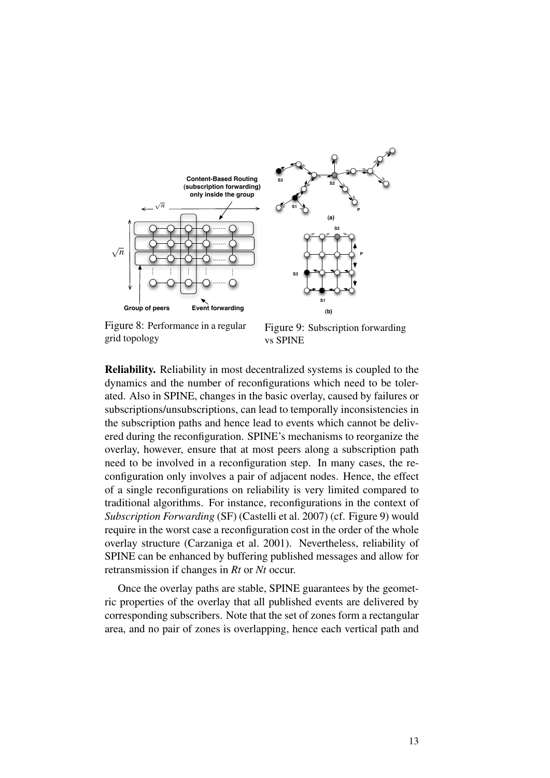

Figure 8: Performance in a regular grid topology

Figure 9: Subscription forwarding vs SPINE

Reliability. Reliability in most decentralized systems is coupled to the dynamics and the number of reconfigurations which need to be tolerated. Also in SPINE, changes in the basic overlay, caused by failures or subscriptions/unsubscriptions, can lead to temporally inconsistencies in the subscription paths and hence lead to events which cannot be delivered during the reconfiguration. SPINE's mechanisms to reorganize the overlay, however, ensure that at most peers along a subscription path need to be involved in a reconfiguration step. In many cases, the reconfiguration only involves a pair of adjacent nodes. Hence, the effect of a single reconfigurations on reliability is very limited compared to traditional algorithms. For instance, reconfigurations in the context of *Subscription Forwarding* (SF) (Castelli et al. 2007) (cf. Figure 9) would require in the worst case a reconfiguration cost in the order of the whole overlay structure (Carzaniga et al. 2001). Nevertheless, reliability of SPINE can be enhanced by buffering published messages and allow for retransmission if changes in *Rt* or *Nt* occur.

Once the overlay paths are stable, SPINE guarantees by the geometric properties of the overlay that all published events are delivered by corresponding subscribers. Note that the set of zones form a rectangular area, and no pair of zones is overlapping, hence each vertical path and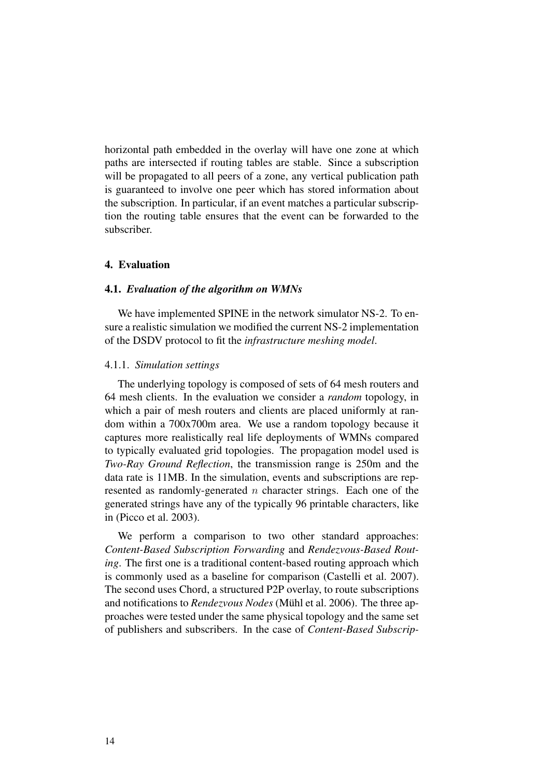horizontal path embedded in the overlay will have one zone at which paths are intersected if routing tables are stable. Since a subscription will be propagated to all peers of a zone, any vertical publication path is guaranteed to involve one peer which has stored information about the subscription. In particular, if an event matches a particular subscription the routing table ensures that the event can be forwarded to the subscriber.

## 4. Evaluation

# 4.1. *Evaluation of the algorithm on WMNs*

We have implemented SPINE in the network simulator NS-2. To ensure a realistic simulation we modified the current NS-2 implementation of the DSDV protocol to fit the *infrastructure meshing model*.

#### 4.1.1. *Simulation settings*

The underlying topology is composed of sets of 64 mesh routers and 64 mesh clients. In the evaluation we consider a *random* topology, in which a pair of mesh routers and clients are placed uniformly at random within a 700x700m area. We use a random topology because it captures more realistically real life deployments of WMNs compared to typically evaluated grid topologies. The propagation model used is *Two-Ray Ground Reflection*, the transmission range is 250m and the data rate is 11MB. In the simulation, events and subscriptions are represented as randomly-generated  $n$  character strings. Each one of the generated strings have any of the typically 96 printable characters, like in (Picco et al. 2003).

We perform a comparison to two other standard approaches: *Content-Based Subscription Forwarding* and *Rendezvous-Based Routing*. The first one is a traditional content-based routing approach which is commonly used as a baseline for comparison (Castelli et al. 2007). The second uses Chord, a structured P2P overlay, to route subscriptions and notifications to *Rendezvous Nodes* (Mühl et al. 2006). The three approaches were tested under the same physical topology and the same set of publishers and subscribers. In the case of *Content-Based Subscrip-*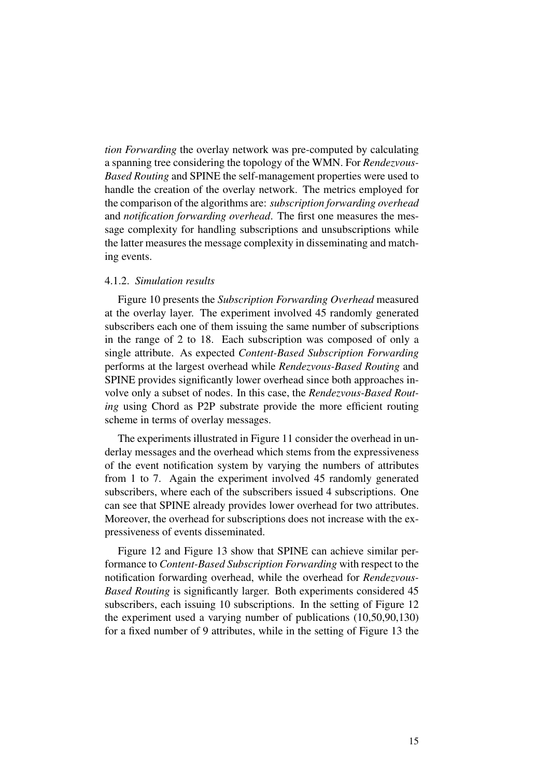*tion Forwarding* the overlay network was pre-computed by calculating a spanning tree considering the topology of the WMN. For *Rendezvous-Based Routing* and SPINE the self-management properties were used to handle the creation of the overlay network. The metrics employed for the comparison of the algorithms are: *subscription forwarding overhead* and *notification forwarding overhead*. The first one measures the message complexity for handling subscriptions and unsubscriptions while the latter measures the message complexity in disseminating and matching events.

## 4.1.2. *Simulation results*

Figure 10 presents the *Subscription Forwarding Overhead* measured at the overlay layer. The experiment involved 45 randomly generated subscribers each one of them issuing the same number of subscriptions in the range of 2 to 18. Each subscription was composed of only a single attribute. As expected *Content-Based Subscription Forwarding* performs at the largest overhead while *Rendezvous-Based Routing* and SPINE provides significantly lower overhead since both approaches involve only a subset of nodes. In this case, the *Rendezvous-Based Routing* using Chord as P2P substrate provide the more efficient routing scheme in terms of overlay messages.

The experiments illustrated in Figure 11 consider the overhead in underlay messages and the overhead which stems from the expressiveness of the event notification system by varying the numbers of attributes from 1 to 7. Again the experiment involved 45 randomly generated subscribers, where each of the subscribers issued 4 subscriptions. One can see that SPINE already provides lower overhead for two attributes. Moreover, the overhead for subscriptions does not increase with the expressiveness of events disseminated.

Figure 12 and Figure 13 show that SPINE can achieve similar performance to *Content-Based Subscription Forwarding* with respect to the notification forwarding overhead, while the overhead for *Rendezvous-Based Routing* is significantly larger. Both experiments considered 45 subscribers, each issuing 10 subscriptions. In the setting of Figure 12 the experiment used a varying number of publications (10,50,90,130) for a fixed number of 9 attributes, while in the setting of Figure 13 the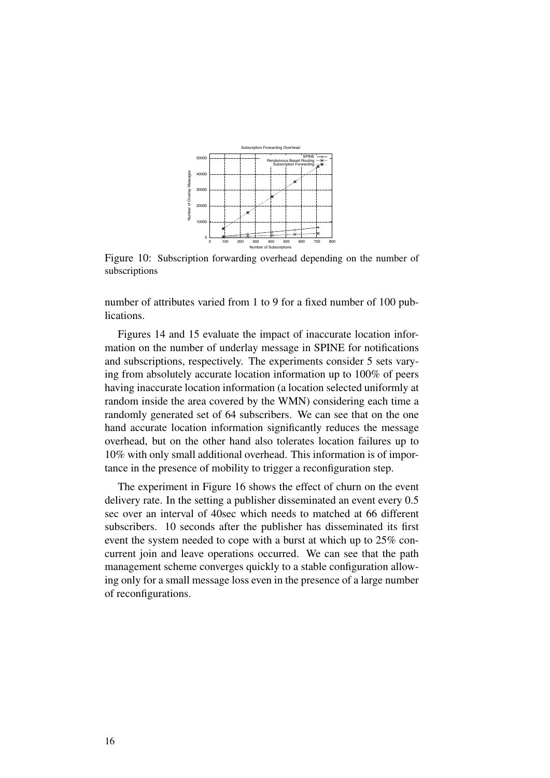

Figure 10: Subscription forwarding overhead depending on the number of subscriptions

number of attributes varied from 1 to 9 for a fixed number of 100 publications.

Figures 14 and 15 evaluate the impact of inaccurate location information on the number of underlay message in SPINE for notifications and subscriptions, respectively. The experiments consider 5 sets varying from absolutely accurate location information up to 100% of peers having inaccurate location information (a location selected uniformly at random inside the area covered by the WMN) considering each time a randomly generated set of 64 subscribers. We can see that on the one hand accurate location information significantly reduces the message overhead, but on the other hand also tolerates location failures up to 10% with only small additional overhead. This information is of importance in the presence of mobility to trigger a reconfiguration step.

The experiment in Figure 16 shows the effect of churn on the event delivery rate. In the setting a publisher disseminated an event every 0.5 sec over an interval of 40sec which needs to matched at 66 different subscribers. 10 seconds after the publisher has disseminated its first event the system needed to cope with a burst at which up to 25% concurrent join and leave operations occurred. We can see that the path management scheme converges quickly to a stable configuration allowing only for a small message loss even in the presence of a large number of reconfigurations.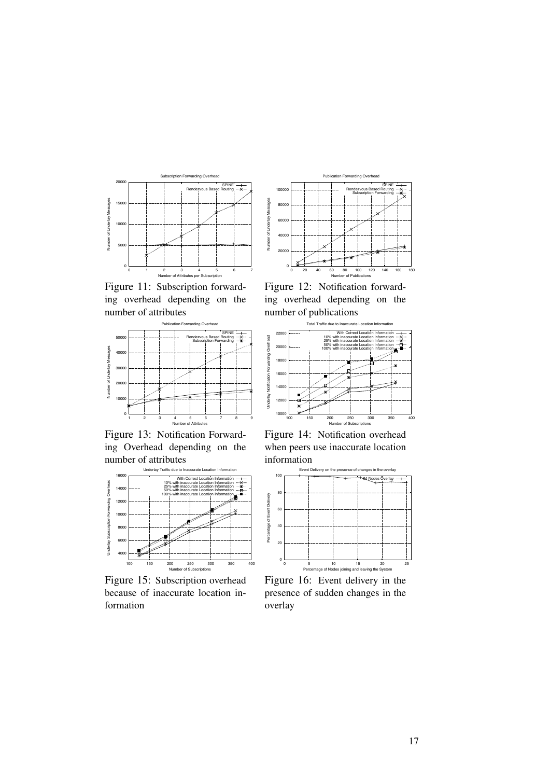

Figure 11: Subscription forwarding overhead depending on the number of attributes



Figure 13: Notification Forwarding Overhead depending on the number of attributes



Figure 15: Subscription overhead because of inaccurate location information



Figure 12: Notification forwarding overhead depending on the number of publications



Figure 14: Notification overhead when peers use inaccurate location information



Figure 16: Event delivery in the presence of sudden changes in the overlay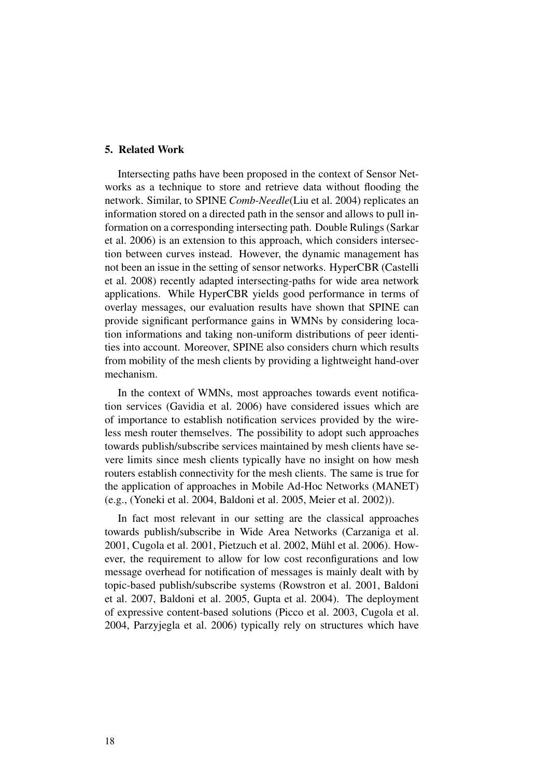## 5. Related Work

Intersecting paths have been proposed in the context of Sensor Networks as a technique to store and retrieve data without flooding the network. Similar, to SPINE *Comb-Needle*(Liu et al. 2004) replicates an information stored on a directed path in the sensor and allows to pull information on a corresponding intersecting path. Double Rulings (Sarkar et al. 2006) is an extension to this approach, which considers intersection between curves instead. However, the dynamic management has not been an issue in the setting of sensor networks. HyperCBR (Castelli et al. 2008) recently adapted intersecting-paths for wide area network applications. While HyperCBR yields good performance in terms of overlay messages, our evaluation results have shown that SPINE can provide significant performance gains in WMNs by considering location informations and taking non-uniform distributions of peer identities into account. Moreover, SPINE also considers churn which results from mobility of the mesh clients by providing a lightweight hand-over mechanism.

In the context of WMNs, most approaches towards event notification services (Gavidia et al. 2006) have considered issues which are of importance to establish notification services provided by the wireless mesh router themselves. The possibility to adopt such approaches towards publish/subscribe services maintained by mesh clients have severe limits since mesh clients typically have no insight on how mesh routers establish connectivity for the mesh clients. The same is true for the application of approaches in Mobile Ad-Hoc Networks (MANET) (e.g., (Yoneki et al. 2004, Baldoni et al. 2005, Meier et al. 2002)).

In fact most relevant in our setting are the classical approaches towards publish/subscribe in Wide Area Networks (Carzaniga et al. 2001, Cugola et al. 2001, Pietzuch et al. 2002, Muhl et al. 2006). How- ¨ ever, the requirement to allow for low cost reconfigurations and low message overhead for notification of messages is mainly dealt with by topic-based publish/subscribe systems (Rowstron et al. 2001, Baldoni et al. 2007, Baldoni et al. 2005, Gupta et al. 2004). The deployment of expressive content-based solutions (Picco et al. 2003, Cugola et al. 2004, Parzyjegla et al. 2006) typically rely on structures which have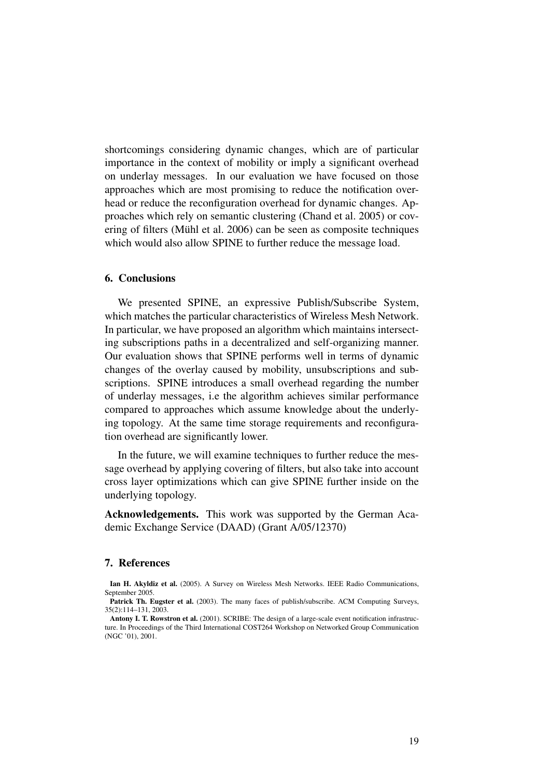shortcomings considering dynamic changes, which are of particular importance in the context of mobility or imply a significant overhead on underlay messages. In our evaluation we have focused on those approaches which are most promising to reduce the notification overhead or reduce the reconfiguration overhead for dynamic changes. Approaches which rely on semantic clustering (Chand et al. 2005) or covering of filters (Mühl et al. 2006) can be seen as composite techniques which would also allow SPINE to further reduce the message load.

# 6. Conclusions

We presented SPINE, an expressive Publish/Subscribe System, which matches the particular characteristics of Wireless Mesh Network. In particular, we have proposed an algorithm which maintains intersecting subscriptions paths in a decentralized and self-organizing manner. Our evaluation shows that SPINE performs well in terms of dynamic changes of the overlay caused by mobility, unsubscriptions and subscriptions. SPINE introduces a small overhead regarding the number of underlay messages, i.e the algorithm achieves similar performance compared to approaches which assume knowledge about the underlying topology. At the same time storage requirements and reconfiguration overhead are significantly lower.

In the future, we will examine techniques to further reduce the message overhead by applying covering of filters, but also take into account cross layer optimizations which can give SPINE further inside on the underlying topology.

Acknowledgements. This work was supported by the German Academic Exchange Service (DAAD) (Grant A/05/12370)

## 7. References

Ian H. Akyldiz et al. (2005). A Survey on Wireless Mesh Networks. IEEE Radio Communications, September 2005.

Patrick Th. Eugster et al. (2003). The many faces of publish/subscribe. ACM Computing Surveys, 35(2):114–131, 2003.

Antony I. T. Rowstron et al. (2001). SCRIBE: The design of a large-scale event notification infrastructure. In Proceedings of the Third International COST264 Workshop on Networked Group Communication (NGC '01), 2001.